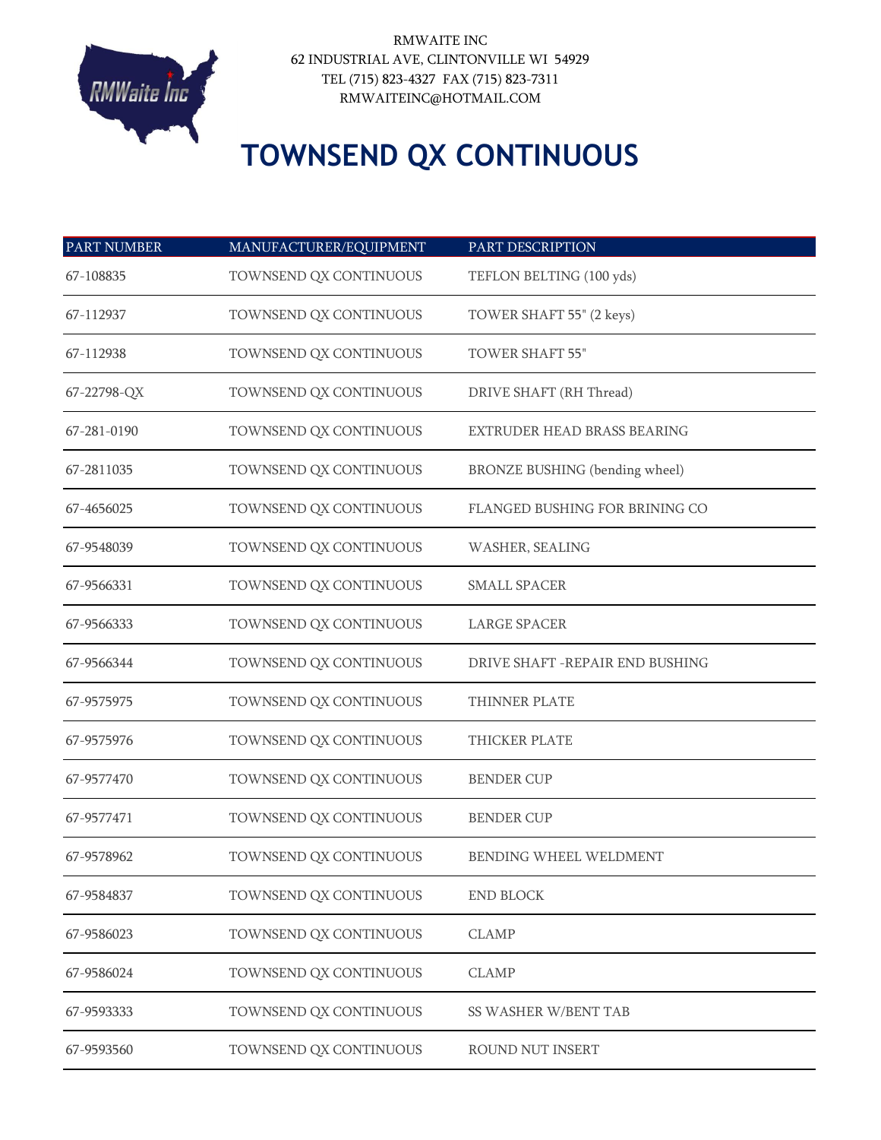

## **TOWNSEND QX CONTINUOUS**

| <b>PART NUMBER</b> | MANUFACTURER/EQUIPMENT | PART DESCRIPTION                      |
|--------------------|------------------------|---------------------------------------|
| 67-108835          | TOWNSEND QX CONTINUOUS | TEFLON BELTING (100 yds)              |
| 67-112937          | TOWNSEND QX CONTINUOUS | TOWER SHAFT 55" (2 keys)              |
| 67-112938          | TOWNSEND QX CONTINUOUS | <b>TOWER SHAFT 55"</b>                |
| 67-22798-QX        | TOWNSEND QX CONTINUOUS | DRIVE SHAFT (RH Thread)               |
| 67-281-0190        | TOWNSEND QX CONTINUOUS | EXTRUDER HEAD BRASS BEARING           |
| 67-2811035         | TOWNSEND QX CONTINUOUS | <b>BRONZE BUSHING (bending wheel)</b> |
| 67-4656025         | TOWNSEND QX CONTINUOUS | FLANGED BUSHING FOR BRINING CO        |
| 67-9548039         | TOWNSEND QX CONTINUOUS | WASHER, SEALING                       |
| 67-9566331         | TOWNSEND QX CONTINUOUS | <b>SMALL SPACER</b>                   |
| 67-9566333         | TOWNSEND QX CONTINUOUS | <b>LARGE SPACER</b>                   |
| 67-9566344         | TOWNSEND QX CONTINUOUS | DRIVE SHAFT - REPAIR END BUSHING      |
| 67-9575975         | TOWNSEND QX CONTINUOUS | THINNER PLATE                         |
| 67-9575976         | TOWNSEND QX CONTINUOUS | THICKER PLATE                         |
| 67-9577470         | TOWNSEND QX CONTINUOUS | <b>BENDER CUP</b>                     |
| 67-9577471         | TOWNSEND QX CONTINUOUS | <b>BENDER CUP</b>                     |
| 67-9578962         | TOWNSEND QX CONTINUOUS | <b>BENDING WHEEL WELDMENT</b>         |
| 67-9584837         | TOWNSEND QX CONTINUOUS | <b>END BLOCK</b>                      |
| 67-9586023         | TOWNSEND QX CONTINUOUS | <b>CLAMP</b>                          |
| 67-9586024         | TOWNSEND QX CONTINUOUS | <b>CLAMP</b>                          |
| 67-9593333         | TOWNSEND QX CONTINUOUS | SS WASHER W/BENT TAB                  |
| 67-9593560         | TOWNSEND QX CONTINUOUS | ROUND NUT INSERT                      |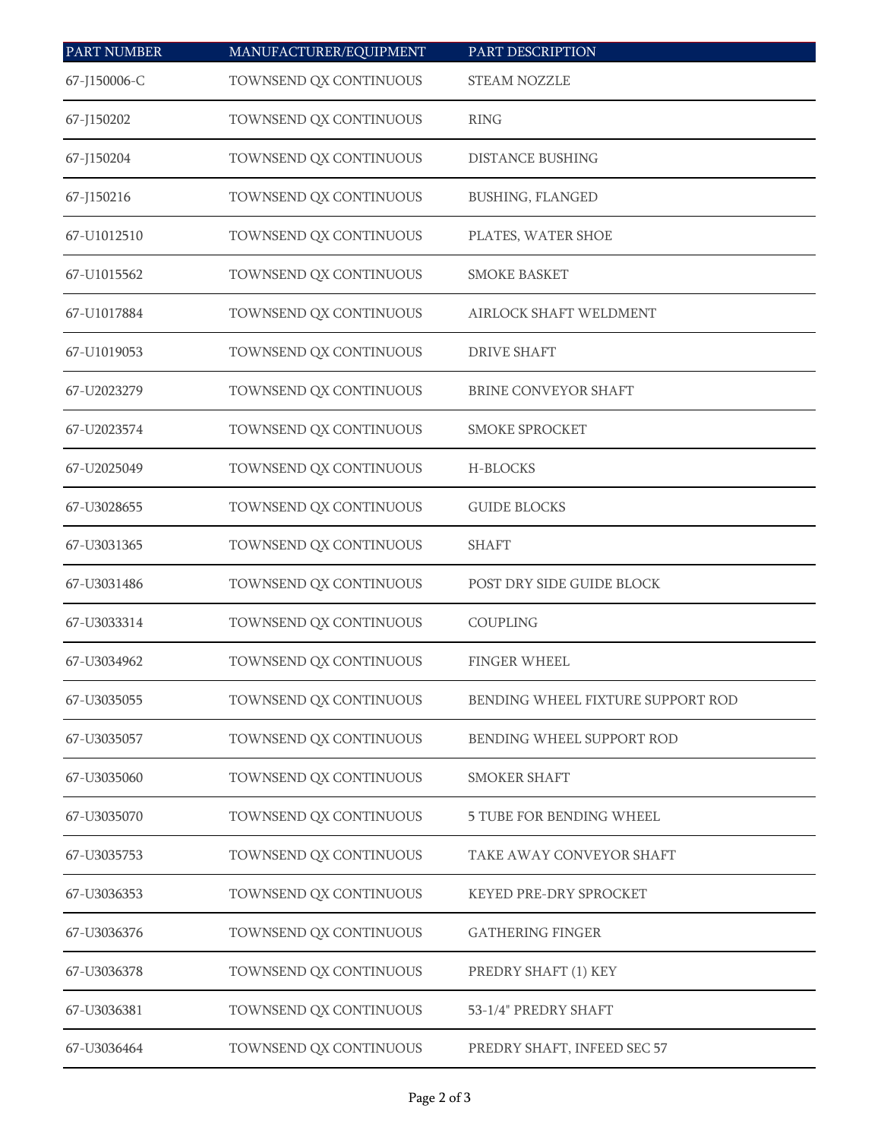| <b>PART NUMBER</b> | MANUFACTURER/EQUIPMENT | PART DESCRIPTION                  |
|--------------------|------------------------|-----------------------------------|
| 67-J150006-C       | TOWNSEND QX CONTINUOUS | <b>STEAM NOZZLE</b>               |
| 67-J150202         | TOWNSEND QX CONTINUOUS | <b>RING</b>                       |
| 67-J150204         | TOWNSEND QX CONTINUOUS | <b>DISTANCE BUSHING</b>           |
| 67-J150216         | TOWNSEND QX CONTINUOUS | <b>BUSHING, FLANGED</b>           |
| 67-U1012510        | TOWNSEND QX CONTINUOUS | PLATES, WATER SHOE                |
| 67-U1015562        | TOWNSEND QX CONTINUOUS | <b>SMOKE BASKET</b>               |
| 67-U1017884        | TOWNSEND QX CONTINUOUS | <b>AIRLOCK SHAFT WELDMENT</b>     |
| 67-U1019053        | TOWNSEND QX CONTINUOUS | <b>DRIVE SHAFT</b>                |
| 67-U2023279        | TOWNSEND QX CONTINUOUS | BRINE CONVEYOR SHAFT              |
| 67-U2023574        | TOWNSEND QX CONTINUOUS | <b>SMOKE SPROCKET</b>             |
| 67-U2025049        | TOWNSEND QX CONTINUOUS | H-BLOCKS                          |
| 67-U3028655        | TOWNSEND QX CONTINUOUS | <b>GUIDE BLOCKS</b>               |
| 67-U3031365        | TOWNSEND QX CONTINUOUS | <b>SHAFT</b>                      |
| 67-U3031486        | TOWNSEND QX CONTINUOUS | POST DRY SIDE GUIDE BLOCK         |
| 67-U3033314        | TOWNSEND QX CONTINUOUS | COUPLING                          |
| 67-U3034962        | TOWNSEND QX CONTINUOUS | <b>FINGER WHEEL</b>               |
| 67-U3035055        | TOWNSEND QX CONTINUOUS | BENDING WHEEL FIXTURE SUPPORT ROD |
| 67-U3035057        | TOWNSEND QX CONTINUOUS | BENDING WHEEL SUPPORT ROD         |
| 67-U3035060        | TOWNSEND QX CONTINUOUS | <b>SMOKER SHAFT</b>               |
| 67-U3035070        | TOWNSEND QX CONTINUOUS | <b>5 TUBE FOR BENDING WHEEL</b>   |
| 67-U3035753        | TOWNSEND QX CONTINUOUS | TAKE AWAY CONVEYOR SHAFT          |
| 67-U3036353        | TOWNSEND QX CONTINUOUS | KEYED PRE-DRY SPROCKET            |
| 67-U3036376        | TOWNSEND QX CONTINUOUS | <b>GATHERING FINGER</b>           |
| 67-U3036378        | TOWNSEND QX CONTINUOUS | PREDRY SHAFT (1) KEY              |
| 67-U3036381        | TOWNSEND QX CONTINUOUS | 53-1/4" PREDRY SHAFT              |
| 67-U3036464        | TOWNSEND QX CONTINUOUS | PREDRY SHAFT, INFEED SEC 57       |